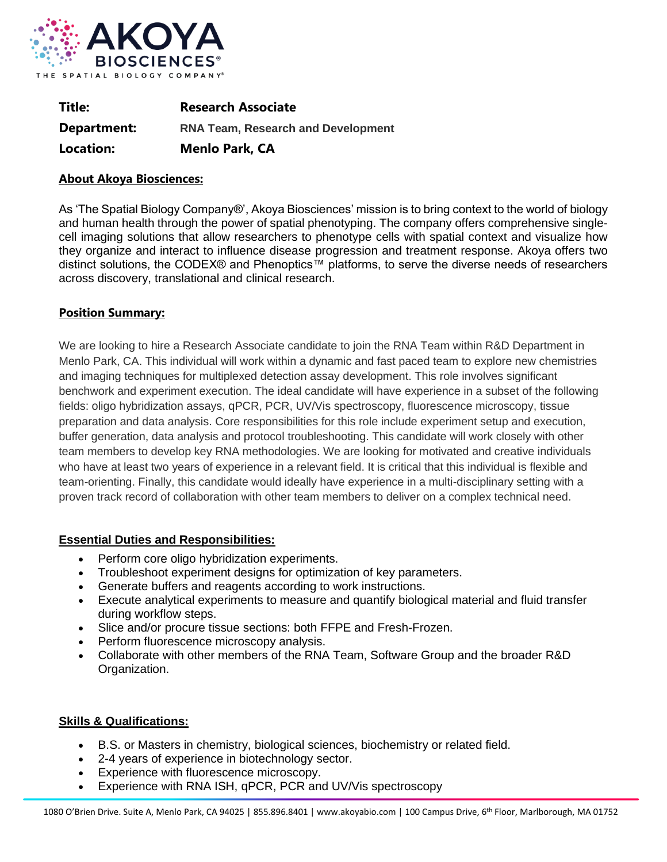

| Title:      | <b>Research Associate</b>                 |
|-------------|-------------------------------------------|
| Department: | <b>RNA Team, Research and Development</b> |
| Location:   | <b>Menlo Park, CA</b>                     |

## **About Akoya Biosciences:**

As 'The Spatial Biology Company®', Akoya Biosciences' mission is to bring context to the world of biology and human health through the power of spatial phenotyping. The company offers comprehensive singlecell imaging solutions that allow researchers to phenotype cells with spatial context and visualize how they organize and interact to influence disease progression and treatment response. Akoya offers two distinct solutions, the CODEX® and Phenoptics™ platforms, to serve the diverse needs of researchers across discovery, translational and clinical research.

## **Position Summary:**

We are looking to hire a Research Associate candidate to join the RNA Team within R&D Department in Menlo Park, CA. This individual will work within a dynamic and fast paced team to explore new chemistries and imaging techniques for multiplexed detection assay development. This role involves significant benchwork and experiment execution. The ideal candidate will have experience in a subset of the following fields: oligo hybridization assays, qPCR, PCR, UV/Vis spectroscopy, fluorescence microscopy, tissue preparation and data analysis. Core responsibilities for this role include experiment setup and execution, buffer generation, data analysis and protocol troubleshooting. This candidate will work closely with other team members to develop key RNA methodologies. We are looking for motivated and creative individuals who have at least two years of experience in a relevant field. It is critical that this individual is flexible and team-orienting. Finally, this candidate would ideally have experience in a multi-disciplinary setting with a proven track record of collaboration with other team members to deliver on a complex technical need.

## **Essential Duties and Responsibilities:**

- Perform core oligo hybridization experiments.
- Troubleshoot experiment designs for optimization of key parameters.
- Generate buffers and reagents according to work instructions.
- Execute analytical experiments to measure and quantify biological material and fluid transfer during workflow steps.
- Slice and/or procure tissue sections: both FFPE and Fresh-Frozen.
- Perform fluorescence microscopy analysis.
- Collaborate with other members of the RNA Team, Software Group and the broader R&D Organization.

## **Skills & Qualifications:**

- B.S. or Masters in chemistry, biological sciences, biochemistry or related field.
- 2-4 years of experience in biotechnology sector.
- Experience with fluorescence microscopy.
- Experience with RNA ISH, qPCR, PCR and UV/Vis spectroscopy